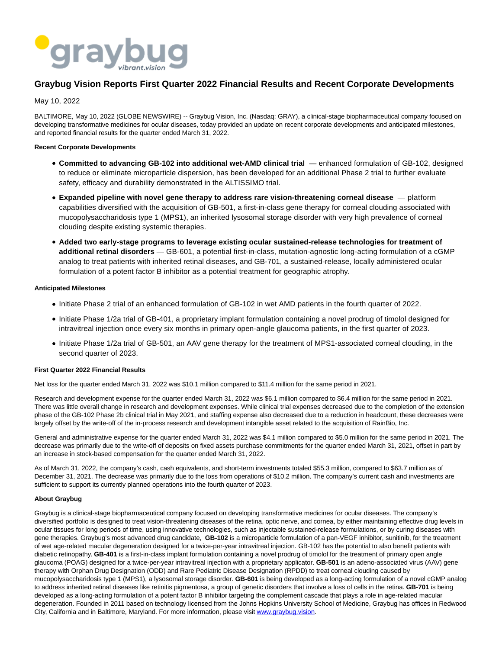

# **Graybug Vision Reports First Quarter 2022 Financial Results and Recent Corporate Developments**

# May 10, 2022

BALTIMORE, May 10, 2022 (GLOBE NEWSWIRE) -- Graybug Vision, Inc. (Nasdaq: GRAY), a clinical-stage biopharmaceutical company focused on developing transformative medicines for ocular diseases, today provided an update on recent corporate developments and anticipated milestones, and reported financial results for the quarter ended March 31, 2022.

### **Recent Corporate Developments**

- **Committed to advancing GB-102 into additional wet-AMD clinical trial**  enhanced formulation of GB-102, designed to reduce or eliminate microparticle dispersion, has been developed for an additional Phase 2 trial to further evaluate safety, efficacy and durability demonstrated in the ALTISSIMO trial.
- **Expanded pipeline with novel gene therapy to address rare vision-threatening corneal disease**  platform capabilities diversified with the acquisition of GB-501, a first-in-class gene therapy for corneal clouding associated with mucopolysaccharidosis type 1 (MPS1), an inherited lysosomal storage disorder with very high prevalence of corneal clouding despite existing systemic therapies.
- **Added two early-stage programs to leverage existing ocular sustained-release technologies for treatment of additional retinal disorders** — GB-601, a potential first-in-class, mutation-agnostic long-acting formulation of a cGMP analog to treat patients with inherited retinal diseases, and GB-701, a sustained-release, locally administered ocular formulation of a potent factor B inhibitor as a potential treatment for geographic atrophy.

### **Anticipated Milestones**

- Initiate Phase 2 trial of an enhanced formulation of GB-102 in wet AMD patients in the fourth quarter of 2022.
- Initiate Phase 1/2a trial of GB-401, a proprietary implant formulation containing a novel prodrug of timolol designed for intravitreal injection once every six months in primary open-angle glaucoma patients, in the first quarter of 2023.
- Initiate Phase 1/2a trial of GB-501, an AAV gene therapy for the treatment of MPS1-associated corneal clouding, in the second quarter of 2023.

#### **First Quarter 2022 Financial Results**

Net loss for the quarter ended March 31, 2022 was \$10.1 million compared to \$11.4 million for the same period in 2021.

Research and development expense for the quarter ended March 31, 2022 was \$6.1 million compared to \$6.4 million for the same period in 2021. There was little overall change in research and development expenses. While clinical trial expenses decreased due to the completion of the extension phase of the GB-102 Phase 2b clinical trial in May 2021, and staffing expense also decreased due to a reduction in headcount, these decreases were largely offset by the write-off of the in-process research and development intangible asset related to the acquisition of RainBio, Inc.

General and administrative expense for the quarter ended March 31, 2022 was \$4.1 million compared to \$5.0 million for the same period in 2021. The decrease was primarily due to the write-off of deposits on fixed assets purchase commitments for the quarter ended March 31, 2021, offset in part by an increase in stock-based compensation for the quarter ended March 31, 2022.

As of March 31, 2022, the company's cash, cash equivalents, and short-term investments totaled \$55.3 million, compared to \$63.7 million as of December 31, 2021. The decrease was primarily due to the loss from operations of \$10.2 million. The company's current cash and investments are sufficient to support its currently planned operations into the fourth quarter of 2023.

#### **About Graybug**

Graybug is a clinical-stage biopharmaceutical company focused on developing transformative medicines for ocular diseases. The company's diversified portfolio is designed to treat vision-threatening diseases of the retina, optic nerve, and cornea, by either maintaining effective drug levels in ocular tissues for long periods of time, using innovative technologies, such as injectable sustained-release formulations, or by curing diseases with gene therapies. Graybug's most advanced drug candidate, **GB-102** is a microparticle formulation of a pan-VEGF inhibitor, sunitinib, for the treatment of wet age-related macular degeneration designed for a twice-per-year intravitreal injection. GB-102 has the potential to also benefit patients with diabetic retinopathy. **GB-401** is a first-in-class implant formulation containing a novel prodrug of timolol for the treatment of primary open angle glaucoma (POAG) designed for a twice-per-year intravitreal injection with a proprietary applicator. **GB-501** is an adeno-associated virus (AAV) gene therapy with Orphan Drug Designation (ODD) and Rare Pediatric Disease Designation (RPDD) to treat corneal clouding caused by mucopolysaccharidosis type 1 (MPS1), a lysosomal storage disorder. **GB-601** is being developed as a long-acting formulation of a novel cGMP analog to address inherited retinal diseases like retinitis pigmentosa, a group of genetic disorders that involve a loss of cells in the retina. **GB-701** is being developed as a long-acting formulation of a potent factor B inhibitor targeting the complement cascade that plays a role in age-related macular degeneration. Founded in 2011 based on technology licensed from the Johns Hopkins University School of Medicine, Graybug has offices in Redwood City, California and in Baltimore, Maryland. For more information, please visi[t www.graybug.vision.](https://www.globenewswire.com/Tracker?data=kWW4Dbc7mczK7OZz4EV7P0_G5ukRlKp9KGWbrATaQcIdfwNO3AFXs2JoHRfcnIXwo6GUJZFF58-IN2Xbn910VCA2vXfgEj44joj-lWvOanY=)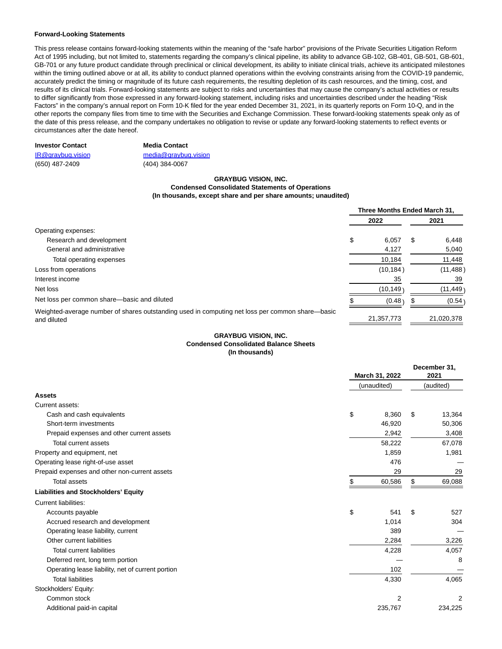#### **Forward-Looking Statements**

This press release contains forward-looking statements within the meaning of the "safe harbor" provisions of the Private Securities Litigation Reform Act of 1995 including, but not limited to, statements regarding the company's clinical pipeline, its ability to advance GB-102, GB-401, GB-501, GB-601, GB-701 or any future product candidate through preclinical or clinical development, its ability to initiate clinical trials, achieve its anticipated milestones within the timing outlined above or at all, its ability to conduct planned operations within the evolving constraints arising from the COVID-19 pandemic, accurately predict the timing or magnitude of its future cash requirements, the resulting depletion of its cash resources, and the timing, cost, and results of its clinical trials. Forward-looking statements are subject to risks and uncertainties that may cause the company's actual activities or results to differ significantly from those expressed in any forward-looking statement, including risks and uncertainties described under the heading "Risk Factors" in the company's annual report on Form 10-K filed for the year ended December 31, 2021, in its quarterly reports on Form 10-Q, and in the other reports the company files from time to time with the Securities and Exchange Commission. These forward-looking statements speak only as of the date of this press release, and the company undertakes no obligation to revise or update any forward-looking statements to reflect events or circumstances after the date hereof.

#### **Investor Contact Media Contact**

(650) 487-2409 (404) 384-0067

[IR@graybug.vision](mailto:IR@graybug.vision) [media@graybug.vision](mailto:media@graybug.vision)

### **GRAYBUG VISION, INC.**

**Condensed Consolidated Statements of Operations**

**(In thousands, except share and per share amounts; unaudited)**

|                                                                                                                | Three Months Ended March 31, |            |   |            |  |
|----------------------------------------------------------------------------------------------------------------|------------------------------|------------|---|------------|--|
|                                                                                                                |                              | 2022       |   | 2021       |  |
| Operating expenses:                                                                                            |                              |            |   |            |  |
| Research and development                                                                                       | \$                           | 6.057      | S | 6,448      |  |
| General and administrative                                                                                     |                              | 4,127      |   | 5,040      |  |
| Total operating expenses                                                                                       |                              | 10,184     |   | 11,448     |  |
| Loss from operations                                                                                           |                              | (10, 184)  |   | (11, 488)  |  |
| Interest income                                                                                                |                              | 35         |   | 39         |  |
| Net loss                                                                                                       |                              | (10, 149)  |   | (11,449)   |  |
| Net loss per common share-basic and diluted                                                                    |                              | (0.48)     |   | (0.54)     |  |
| Weighted-average number of shares outstanding used in computing net loss per common share—basic<br>and diluted |                              | 21,357,773 |   | 21.020.378 |  |

## **GRAYBUG VISION, INC. Condensed Consolidated Balance Sheets (In thousands)**

|                                                   | March 31, 2022<br>(unaudited) |         |           | December 31,<br>2021 |  |
|---------------------------------------------------|-------------------------------|---------|-----------|----------------------|--|
|                                                   |                               |         | (audited) |                      |  |
| <b>Assets</b>                                     |                               |         |           |                      |  |
| Current assets:                                   |                               |         |           |                      |  |
| Cash and cash equivalents                         | \$                            | 8.360   | \$        | 13,364               |  |
| Short-term investments                            |                               | 46,920  |           | 50,306               |  |
| Prepaid expenses and other current assets         |                               | 2,942   |           | 3,408                |  |
| Total current assets                              |                               | 58,222  |           | 67,078               |  |
| Property and equipment, net                       |                               | 1,859   |           | 1,981                |  |
| Operating lease right-of-use asset                |                               | 476     |           |                      |  |
| Prepaid expenses and other non-current assets     |                               | 29      |           | 29                   |  |
| Total assets                                      |                               | 60,586  | \$        | 69,088               |  |
| <b>Liabilities and Stockholders' Equity</b>       |                               |         |           |                      |  |
| <b>Current liabilities:</b>                       |                               |         |           |                      |  |
| Accounts payable                                  | \$                            | 541     | \$        | 527                  |  |
| Accrued research and development                  |                               | 1,014   |           | 304                  |  |
| Operating lease liability, current                |                               | 389     |           |                      |  |
| Other current liabilities                         |                               | 2,284   |           | 3,226                |  |
| <b>Total current liabilities</b>                  |                               | 4,228   |           | 4,057                |  |
| Deferred rent, long term portion                  |                               |         |           | 8                    |  |
| Operating lease liability, net of current portion |                               | 102     |           |                      |  |
| <b>Total liabilities</b>                          |                               | 4,330   |           | 4,065                |  |
| Stockholders' Equity:                             |                               |         |           |                      |  |
| Common stock                                      |                               | 2       |           | 2                    |  |
| Additional paid-in capital                        |                               | 235,767 |           | 234,225              |  |